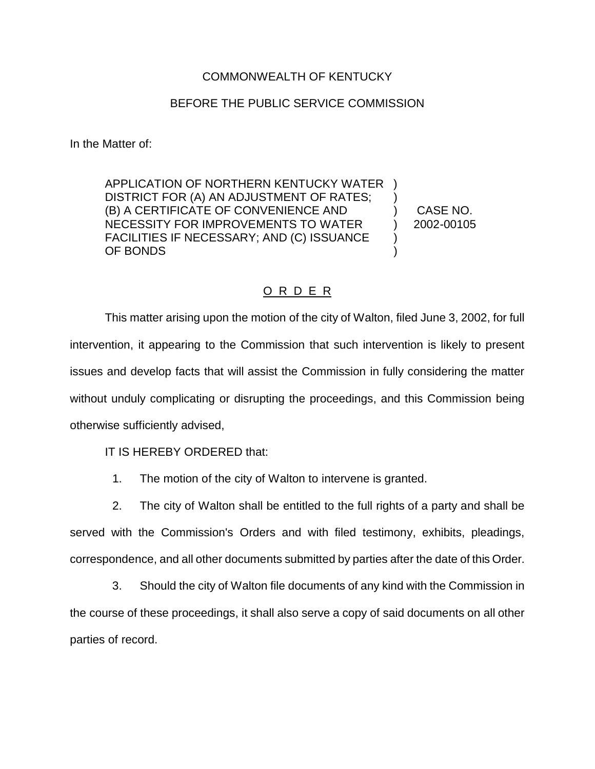## COMMONWEALTH OF KENTUCKY

## BEFORE THE PUBLIC SERVICE COMMISSION

In the Matter of:

APPLICATION OF NORTHERN KENTUCKY WATER ) DISTRICT FOR (A) AN ADJUSTMENT OF RATES; (B) A CERTIFICATE OF CONVENIENCE AND ) CASE NO. NECESSITY FOR IMPROVEMENTS TO WATER  $\qquad$  ) 2002-00105 FACILITIES IF NECESSARY; AND (C) ISSUANCE ) OF BONDS (OF  $\sim$  )

## O R D E R

This matter arising upon the motion of the city of Walton, filed June 3, 2002, for full intervention, it appearing to the Commission that such intervention is likely to present issues and develop facts that will assist the Commission in fully considering the matter without unduly complicating or disrupting the proceedings, and this Commission being otherwise sufficiently advised,

IT IS HEREBY ORDERED that:

1. The motion of the city of Walton to intervene is granted.

2. The city of Walton shall be entitled to the full rights of a party and shall be served with the Commission's Orders and with filed testimony, exhibits, pleadings, correspondence, and all other documents submitted by parties after the date of this Order.

3. Should the city of Walton file documents of any kind with the Commission in the course of these proceedings, it shall also serve a copy of said documents on all other parties of record.